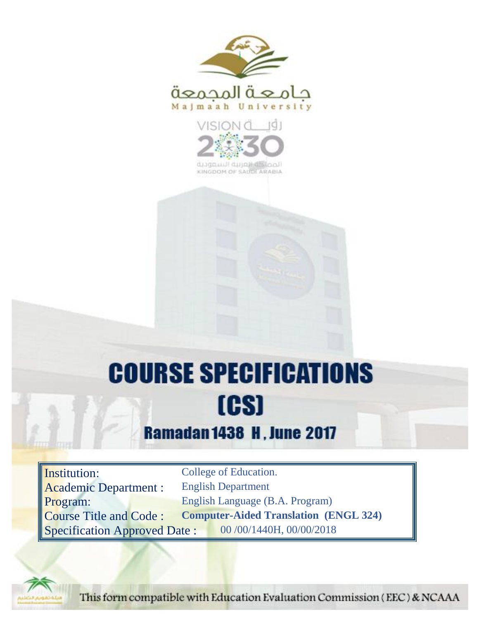



KINGDOM OF SAUDI ARABIA

# **COURSE SPECIFICATIONS** [CS]

# **Ramadan 1438 H, June 2017**

Institution: College of Education. Academic Department : English Department Program: English Language (B.A. Program) Course Title and Code : **Computer-Aided Translation (ENGL 324)** Specification Approved Date : 00 /00/1440H, 00/00/2018



This form compatible with Education Evaluation Commission (EEC) & NCAAA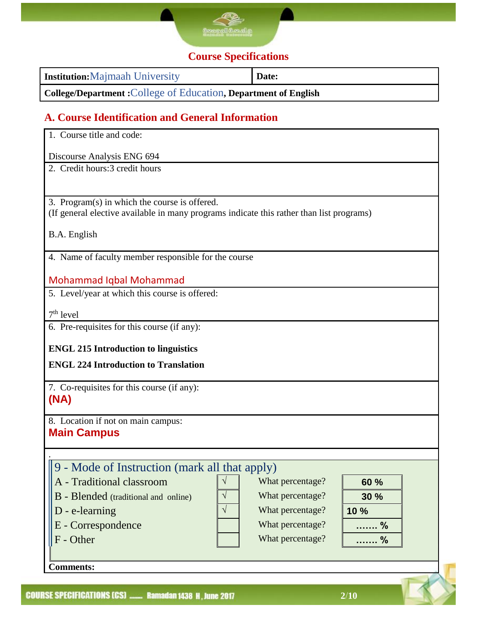

# **Course Specifications**

| <b>Institution:</b> Majmaah University                                 | Date: |
|------------------------------------------------------------------------|-------|
| <b>College/Department: College of Education, Department of English</b> |       |

# **A. Course Identification and General Information**

| 1. Course title and code:                                                                |  |  |  |  |  |
|------------------------------------------------------------------------------------------|--|--|--|--|--|
| Discourse Analysis ENG 694                                                               |  |  |  |  |  |
| 2. Credit hours: 3 credit hours                                                          |  |  |  |  |  |
|                                                                                          |  |  |  |  |  |
| 3. Program(s) in which the course is offered.                                            |  |  |  |  |  |
| (If general elective available in many programs indicate this rather than list programs) |  |  |  |  |  |
| B.A. English                                                                             |  |  |  |  |  |
|                                                                                          |  |  |  |  |  |
| 4. Name of faculty member responsible for the course                                     |  |  |  |  |  |
| <b>Mohammad Iqbal Mohammad</b>                                                           |  |  |  |  |  |
| 5. Level/year at which this course is offered:                                           |  |  |  |  |  |
|                                                                                          |  |  |  |  |  |
| $7th$ level<br>6. Pre-requisites for this course (if any):                               |  |  |  |  |  |
|                                                                                          |  |  |  |  |  |
| <b>ENGL 215 Introduction to linguistics</b>                                              |  |  |  |  |  |
| <b>ENGL 224 Introduction to Translation</b>                                              |  |  |  |  |  |
| 7. Co-requisites for this course (if any):                                               |  |  |  |  |  |
| (NA)                                                                                     |  |  |  |  |  |
|                                                                                          |  |  |  |  |  |
| 8. Location if not on main campus:<br><b>Main Campus</b>                                 |  |  |  |  |  |
|                                                                                          |  |  |  |  |  |
|                                                                                          |  |  |  |  |  |
| 9 - Mode of Instruction (mark all that apply)                                            |  |  |  |  |  |
| What percentage?<br>$\sqrt{}$<br>A - Traditional classroom<br>60 %                       |  |  |  |  |  |
| $\sqrt{}$<br>What percentage?<br><b>B</b> - Blended (traditional and online)<br>30 %     |  |  |  |  |  |
| $\sqrt{}$<br>What percentage?<br>D - e-learning<br>10 %                                  |  |  |  |  |  |
| E - Correspondence<br>What percentage?<br>…%                                             |  |  |  |  |  |
| F - Other<br>What percentage?<br>. %                                                     |  |  |  |  |  |
|                                                                                          |  |  |  |  |  |
| <b>Comments:</b>                                                                         |  |  |  |  |  |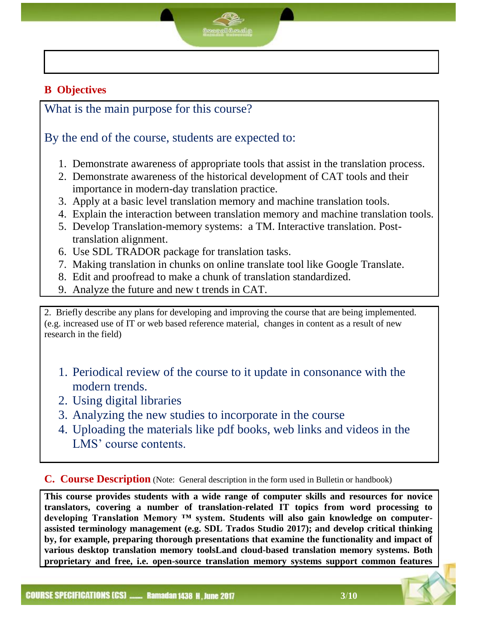### **B Objectives**

What is the main purpose for this course?

# By the end of the course, students are expected to:

- 1. Demonstrate awareness of appropriate tools that assist in the translation process.
- 2. Demonstrate awareness of the historical development of CAT tools and their importance in modern-day translation practice.
- 3. Apply at a basic level translation memory and machine translation tools.
- 4. Explain the interaction between translation memory and machine translation tools.
- 5. Develop Translation-memory systems: a TM. Interactive translation. Posttranslation alignment.
- 6. Use SDL TRADOR package for translation tasks.
- 7. Making translation in chunks on online translate tool like Google Translate.
- 8. Edit and proofread to make a chunk of translation standardized.
- 9. Analyze the future and new t trends in CAT.

2. Briefly describe any plans for developing and improving the course that are being implemented. (e.g. increased use of IT or web based reference material, changes in content as a result of new research in the field)

- 1. Periodical review of the course to it update in consonance with the modern trends.
- 2. Using digital libraries
- 3. Analyzing the new studies to incorporate in the course
- 4. Uploading the materials like pdf books, web links and videos in the LMS' course contents.

**C. Course Description** (Note: General description in the form used in Bulletin or handbook)

**This course provides students with a wide range of computer skills and resources for novice translators, covering a number of translation-related IT topics from word processing to developing Translation Memory ™ system. Students will also gain knowledge on computerassisted terminology management (e.g. SDL Trados Studio 2017); and develop critical thinking by, for example, preparing thorough presentations that examine the functionality and impact of various desktop translation memory toolsLand cloud-based translation memory systems. Both proprietary and free, i.e. open-source translation memory systems support common features**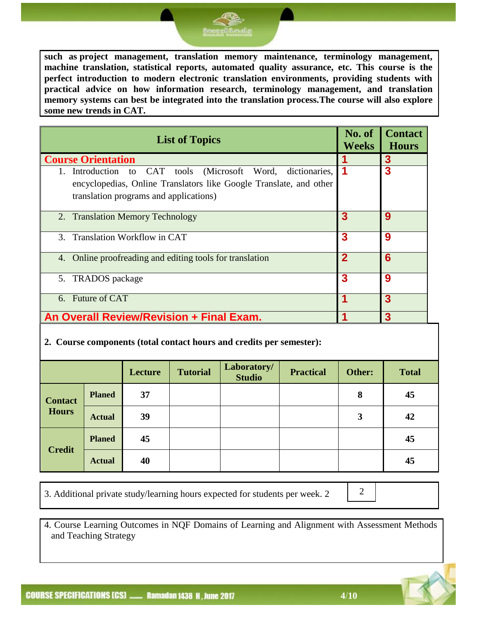**Hours**

3. Additional private study/learning hours expected for students per week. 2

4. Course Learning Outcomes in NQF Domains of Learning and Alignment with Assessment Methods and Teaching Strategy

**such as project management, translation memory maintenance, terminology management, machine translation, statistical reports, automated quality assurance, etc. This course is the perfect introduction to modern electronic translation environments, providing students with practical advice on how information research, terminology management, and translation memory systems can best be integrated into the translation process.The course will also explore some new trends in CAT.**

| <b>List of Topics</b>                                                                                                                                                       | No. of<br><b>Weeks</b> | <b>Contact</b><br><b>Hours</b> |
|-----------------------------------------------------------------------------------------------------------------------------------------------------------------------------|------------------------|--------------------------------|
| <b>Course Orientation</b>                                                                                                                                                   |                        | 3                              |
| 1. Introduction to CAT tools (Microsoft Word, dictionaries,<br>encyclopedias, Online Translators like Google Translate, and other<br>translation programs and applications) | 1                      | 3                              |
| 2. Translation Memory Technology                                                                                                                                            | 3                      | 9                              |
| 3. Translation Workflow in CAT                                                                                                                                              | 3                      | 9                              |
| Online proofreading and editing tools for translation<br>4.                                                                                                                 | $\overline{2}$         | 6                              |
| 5. TRADOS package                                                                                                                                                           | 3                      | 9                              |
| 6. Future of CAT                                                                                                                                                            |                        | 3                              |
| An Overall Review/Revision + Final Exam.                                                                                                                                    |                        | 3                              |

# **2. Course components (total contact hours and credits per semester):**

|                |               | Lecture | <b>Tutorial</b> | Laboratory/<br><b>Studio</b> | <b>Practical</b> | Other: | <b>Total</b> |
|----------------|---------------|---------|-----------------|------------------------------|------------------|--------|--------------|
| <b>Contact</b> | <b>Planed</b> | 37      |                 |                              |                  | 8      | 45           |
| <b>Hours</b>   | <b>Actual</b> | 39      |                 |                              |                  | 3      | 42           |
|                | <b>Planed</b> | 45      |                 |                              |                  |        | 45           |
| <b>Credit</b>  | <b>Actual</b> | 40      |                 |                              |                  |        | 45           |



2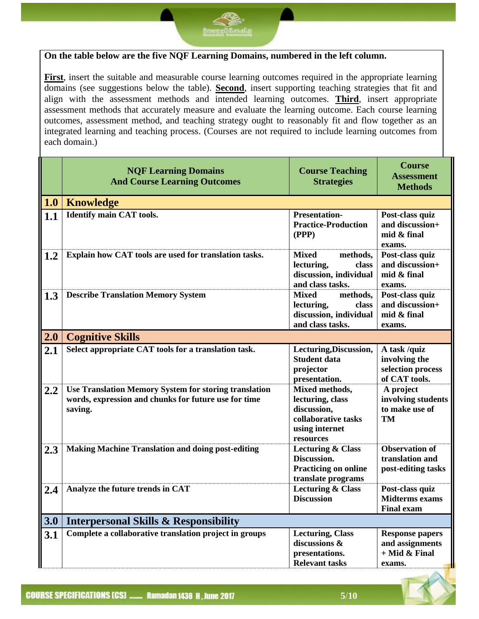

**First**, insert the suitable and measurable course learning outcomes required in the appropriate learning domains (see suggestions below the table). **Second**, insert supporting teaching strategies that fit and align with the assessment methods and intended learning outcomes. **Third**, insert appropriate assessment methods that accurately measure and evaluate the learning outcome. Each course learning outcomes, assessment method, and teaching strategy ought to reasonably fit and flow together as an integrated learning and teaching process. (Courses are not required to include learning outcomes from each domain.)

|     | <b>NQF Learning Domains</b><br><b>And Course Learning Outcomes</b>                                                              | <b>Course Teaching</b><br><b>Strategies</b>                                                             | <b>Course</b><br><b>Assessment</b><br><b>Methods</b>                   |
|-----|---------------------------------------------------------------------------------------------------------------------------------|---------------------------------------------------------------------------------------------------------|------------------------------------------------------------------------|
| 1.0 | <b>Knowledge</b>                                                                                                                |                                                                                                         |                                                                        |
| 1.1 | <b>Identify main CAT tools.</b>                                                                                                 | <b>Presentation-</b><br><b>Practice-Production</b><br>(PPP)                                             | Post-class quiz<br>and discussion+<br>mid & final<br>exams.            |
| 1.2 | Explain how CAT tools are used for translation tasks.                                                                           | <b>Mixed</b><br>methods,<br>lecturing,<br>class<br>discussion, individual<br>and class tasks.           | Post-class quiz<br>and discussion+<br>mid & final<br>exams.            |
| 1.3 | <b>Describe Translation Memory System</b>                                                                                       | <b>Mixed</b><br>methods,<br>lecturing,<br>class<br>discussion, individual<br>and class tasks.           | Post-class quiz<br>and discussion+<br>mid & final<br>exams.            |
| 2.0 | <b>Cognitive Skills</b>                                                                                                         |                                                                                                         |                                                                        |
| 2.1 | Select appropriate CAT tools for a translation task.                                                                            | Lecturing, Discussion,<br><b>Student data</b><br>projector<br>presentation.                             | A task /quiz<br>involving the<br>selection process<br>of CAT tools.    |
| 2.2 | <b>Use Translation Memory System for storing translation</b><br>words, expression and chunks for future use for time<br>saving. | Mixed methods,<br>lecturing, class<br>discussion,<br>collaborative tasks<br>using internet<br>resources | A project<br>involving students<br>to make use of<br><b>TM</b>         |
| 2.3 | <b>Making Machine Translation and doing post-editing</b>                                                                        | <b>Lecturing &amp; Class</b><br>Discussion.<br><b>Practicing on online</b><br>translate programs        | <b>Observation of</b><br>translation and<br>post-editing tasks         |
| 2.4 | Analyze the future trends in CAT                                                                                                | <b>Lecturing &amp; Class</b><br><b>Discussion</b>                                                       | Post-class quiz<br><b>Midterms</b> exams<br><b>Final exam</b>          |
| 3.0 | <b>Interpersonal Skills &amp; Responsibility</b>                                                                                |                                                                                                         |                                                                        |
| 3.1 | Complete a collaborative translation project in groups                                                                          | <b>Lecturing, Class</b><br>discussions &<br>presentations.<br><b>Relevant tasks</b>                     | <b>Response papers</b><br>and assignments<br>$+$ Mid & Final<br>exams. |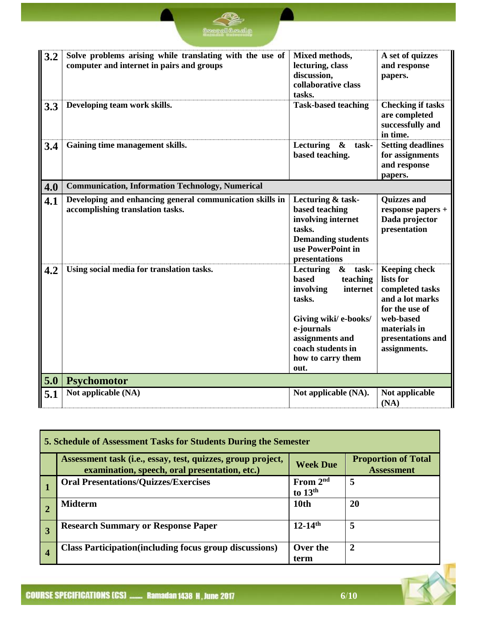

| 3.2 | Solve problems arising while translating with the use of<br>computer and internet in pairs and groups | Mixed methods,<br>lecturing, class<br>discussion,<br>collaborative class<br>tasks.                                                                                                                              | A set of quizzes<br>and response<br>papers.                                                                                                                 |
|-----|-------------------------------------------------------------------------------------------------------|-----------------------------------------------------------------------------------------------------------------------------------------------------------------------------------------------------------------|-------------------------------------------------------------------------------------------------------------------------------------------------------------|
| 3.3 | Developing team work skills.                                                                          | <b>Task-based teaching</b>                                                                                                                                                                                      | <b>Checking if tasks</b><br>are completed<br>successfully and<br>in time.                                                                                   |
| 3.4 | Gaining time management skills.                                                                       | Lecturing<br>$\boldsymbol{\&}$<br>task-<br>based teaching.                                                                                                                                                      | <b>Setting deadlines</b><br>for assignments<br>and response<br>papers.                                                                                      |
| 4.0 | <b>Communication, Information Technology, Numerical</b>                                               |                                                                                                                                                                                                                 |                                                                                                                                                             |
| 4.1 | Developing and enhancing general communication skills in<br>accomplishing translation tasks.          | Lecturing & task-<br>based teaching<br>involving internet<br>tasks.<br><b>Demanding students</b><br>use PowerPoint in<br>presentations                                                                          | <b>Quizzes and</b><br>response papers +<br>Dada projector<br>presentation                                                                                   |
| 4.2 | Using social media for translation tasks.                                                             | task-<br>Lecturing<br>$\boldsymbol{\alpha}$<br>teaching<br>based<br>involving<br>internet<br>tasks.<br>Giving wiki/ e-books/<br>e-journals<br>assignments and<br>coach students in<br>how to carry them<br>out. | <b>Keeping check</b><br>lists for<br>completed tasks<br>and a lot marks<br>for the use of<br>web-based<br>materials in<br>presentations and<br>assignments. |
| 5.0 | <b>Psychomotor</b>                                                                                    |                                                                                                                                                                                                                 |                                                                                                                                                             |
| 5.1 | Not applicable (NA)                                                                                   | Not applicable (NA).                                                                                                                                                                                            | Not applicable<br>(NA)                                                                                                                                      |

|                | 5. Schedule of Assessment Tasks for Students During the Semester                                             |                         |                                                 |  |  |  |
|----------------|--------------------------------------------------------------------------------------------------------------|-------------------------|-------------------------------------------------|--|--|--|
|                | Assessment task (i.e., essay, test, quizzes, group project,<br>examination, speech, oral presentation, etc.) | <b>Week Due</b>         | <b>Proportion of Total</b><br><b>Assessment</b> |  |  |  |
|                | <b>Oral Presentations/Quizzes/Exercises</b>                                                                  | From $2nd$<br>to $13th$ | 5                                               |  |  |  |
|                | <b>Midterm</b>                                                                                               | 10th                    | 20                                              |  |  |  |
| $\overline{3}$ | <b>Research Summary or Response Paper</b>                                                                    | $12-14$ <sup>th</sup>   | 5                                               |  |  |  |
| $\overline{4}$ | <b>Class Participation</b> (including focus group discussions)                                               | Over the<br>term        | 2                                               |  |  |  |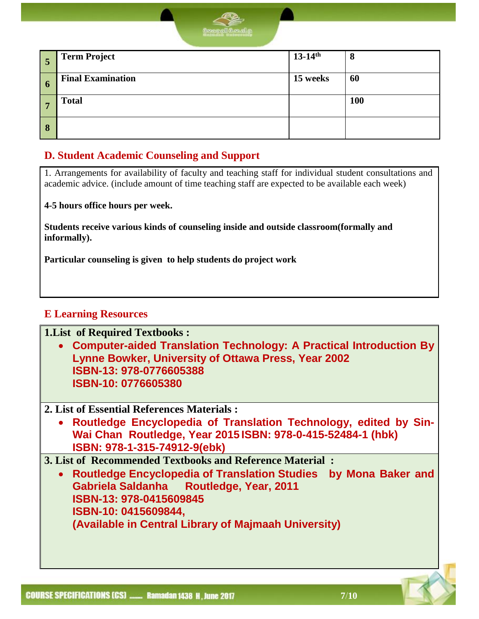

| F<br>ວ      | <b>Term Project</b>      | $13-14^{th}$ | 8          |
|-------------|--------------------------|--------------|------------|
| $\mathbf 0$ | <b>Final Examination</b> | 15 weeks     | 60         |
|             | <b>Total</b>             |              | <b>100</b> |
| 8           |                          |              |            |

#### **D. Student Academic Counseling and Support**

1. Arrangements for availability of faculty and teaching staff for individual student consultations and academic advice. (include amount of time teaching staff are expected to be available each week)

**4-5 hours office hours per week.**

**Students receive various kinds of counseling inside and outside classroom(formally and informally).**

**Particular counseling is given to help students do project work**

#### **E Learning Resources**

**1.List of Required Textbooks :**

- **Computer-aided Translation Technology: A Practical Introduction By Lynne Bowker, University of Ottawa Press, Year 2002 ISBN-13: 978-0776605388 ISBN-10: 0776605380**
- **2. List of Essential References Materials :**
	- **Routledge Encyclopedia of Translation Technology, edited by Sin-Wai Chan Routledge, Year 2015 ISBN: 978-0-415-52484-1 (hbk) ISBN: 978-1-315-74912-9(ebk)**

**3. List of Recommended Textbooks and Reference Material :**

 **Routledge Encyclopedia of Translation Studies by Mona Baker and Gabriela Saldanha Routledge, Year, 2011 ISBN-13: 978-0415609845 ISBN-10: 0415609844, (Available in Central Library of Majmaah University)**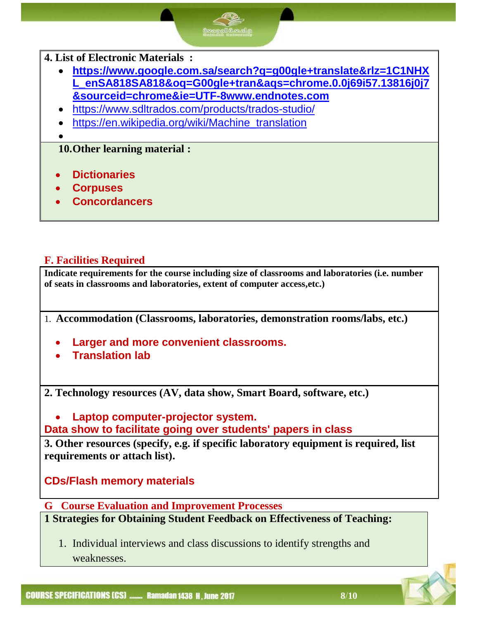#### **4. List of Electronic Materials :**

- **[https://www.google.com.sa/search?q=g00gle+translate&rlz=1C1NHX](https://www.google.com.sa/search?q=g00gle+translate&rlz=1C1NHXL_enSA818SA818&oq=G00gle+tran&aqs=chrome.0.0j69i57.13816j0j7&sourceid=chrome&ie=UTF-8www.endnotes.com) [L\\_enSA818SA818&oq=G00gle+tran&aqs=chrome.0.0j69i57.13816j0j7](https://www.google.com.sa/search?q=g00gle+translate&rlz=1C1NHXL_enSA818SA818&oq=G00gle+tran&aqs=chrome.0.0j69i57.13816j0j7&sourceid=chrome&ie=UTF-8www.endnotes.com) [&sourceid=chrome&ie=UTF-8www.endnotes.com](https://www.google.com.sa/search?q=g00gle+translate&rlz=1C1NHXL_enSA818SA818&oq=G00gle+tran&aqs=chrome.0.0j69i57.13816j0j7&sourceid=chrome&ie=UTF-8www.endnotes.com)**
- <https://www.sdltrados.com/products/trados-studio/>
- [https://en.wikipedia.org/wiki/Machine\\_translation](https://en.wikipedia.org/wiki/Machine_translation)

 $\bullet$ 

#### **10.Other learning material :**

- **Dictionaries**
- **Corpuses**
- **Concordancers**

#### **F. Facilities Required**

**Indicate requirements for the course including size of classrooms and laboratories (i.e. number of seats in classrooms and laboratories, extent of computer access,etc.)**

1. **Accommodation (Classrooms, laboratories, demonstration rooms/labs, etc.)**

- **Larger and more convenient classrooms.**
- **Translation lab**

**2. Technology resources (AV, data show, Smart Board, software, etc.)**

 **Laptop computer-projector system. Data show to facilitate going over students' papers in class**

**3. Other resources (specify, e.g. if specific laboratory equipment is required, list requirements or attach list).**

**CDs/Flash memory materials**

**G Course Evaluation and Improvement Processes**

**1 Strategies for Obtaining Student Feedback on Effectiveness of Teaching:**

1. Individual interviews and class discussions to identify strengths and weaknesses.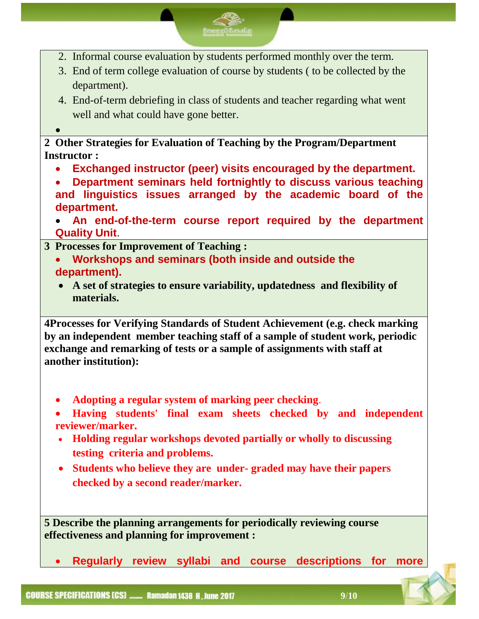- 2. Informal course evaluation by students performed monthly over the term.
- 3. End of term college evaluation of course by students ( to be collected by the department).
- 4. End-of-term debriefing in class of students and teacher regarding what went well and what could have gone better.
- $\bullet$

**2 Other Strategies for Evaluation of Teaching by the Program/Department Instructor :**

- **Exchanged instructor (peer) visits encouraged by the department.**
- **Department seminars held fortnightly to discuss various teaching and linguistics issues arranged by the academic board of the department.**
- **An end-of-the-term course report required by the department Quality Unit**.
- **3 Processes for Improvement of Teaching :**
	- **Workshops and seminars (both inside and outside the department).**
	- **A set of strategies to ensure variability, updatedness and flexibility of materials.**

**4Processes for Verifying Standards of Student Achievement (e.g. check marking by an independent member teaching staff of a sample of student work, periodic exchange and remarking of tests or a sample of assignments with staff at another institution):**

- **Adopting a regular system of marking peer checking**.
- **Having students' final exam sheets checked by and independent reviewer/marker.**
- **Holding regular workshops devoted partially or wholly to discussing testing criteria and problems.**
- **Students who believe they are under- graded may have their papers checked by a second reader/marker.**

**5 Describe the planning arrangements for periodically reviewing course effectiveness and planning for improvement :**

**Regularly review syllabi and course descriptions for more**